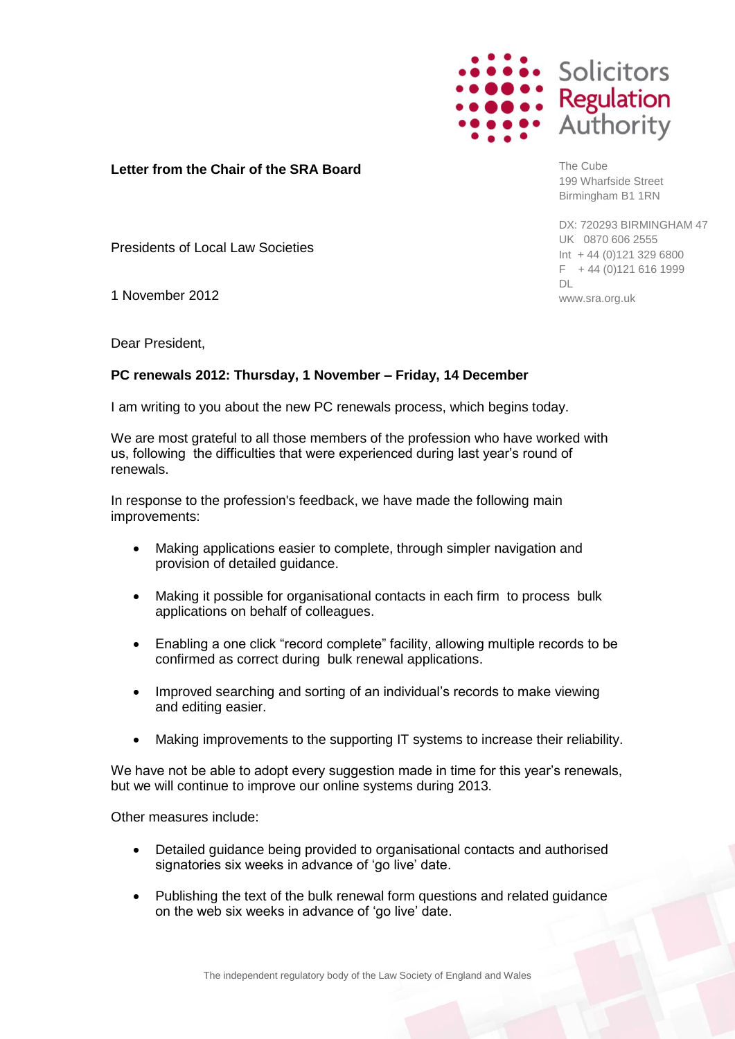

**Letter from the Chair of the SRA Board** 

The Cube 199 Wharfside Street Birmingham B1 1RN

DX: 720293 BIRMINGHAM 47 UK 0870 606 2555 Int + 44 (0)121 329 6800  $F + 44 (0)121 616 1999$ DL www.sra.org.uk

Presidents of Local Law Societies

1 November 2012

Dear President,

## **PC renewals 2012: Thursday, 1 November – Friday, 14 December**

I am writing to you about the new PC renewals process, which begins today.

We are most grateful to all those members of the profession who have worked with us, following the difficulties that were experienced during last year"s round of renewals.

In response to the profession's feedback, we have made the following main improvements:

- Making applications easier to complete, through simpler navigation and provision of detailed guidance.
- Making it possible for organisational contacts in each firm to process bulk applications on behalf of colleagues.
- Enabling a one click "record complete" facility, allowing multiple records to be confirmed as correct during bulk renewal applications.
- Improved searching and sorting of an individual's records to make viewing and editing easier.
- Making improvements to the supporting IT systems to increase their reliability.

We have not be able to adopt every suggestion made in time for this year's renewals, but we will continue to improve our online systems during 2013.

Other measures include:

- Detailed guidance being provided to organisational contacts and authorised signatories six weeks in advance of 'go live' date.
- Publishing the text of the bulk renewal form questions and related guidance on the web six weeks in advance of "go live" date.

The independent regulatory body of the Law Society of England and Wales